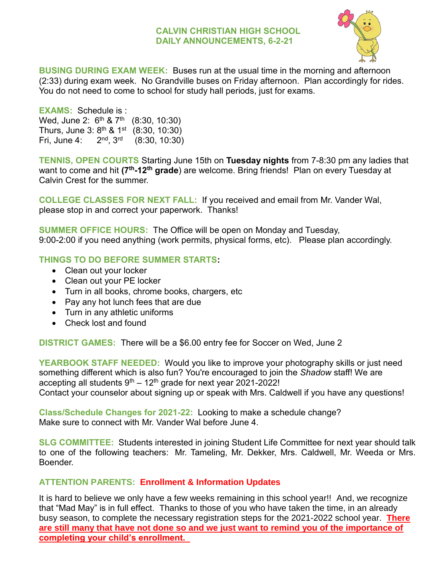#### **CALVIN CHRISTIAN HIGH SCHOOL DAILY ANNOUNCEMENTS, 6-2-21**



**BUSING DURING EXAM WEEK:** Buses run at the usual time in the morning and afternoon (2:33) during exam week. No Grandville buses on Friday afternoon. Plan accordingly for rides. You do not need to come to school for study hall periods, just for exams.

**EXAMS:** Schedule is : Wed, June 2: 6<sup>th</sup> & 7<sup>th</sup> (8:30, 10:30) Thurs, June 3:  $8^{th}$  &  $1^{st}$  (8:30, 10:30) Fri, June 4: 2<sup>nd</sup>, 3<sup>rd</sup> (8:30, 10:30)

**TENNIS, OPEN COURTS** Starting June 15th on **Tuesday nights** from 7-8:30 pm any ladies that want to come and hit **(7th-12th grade**) are welcome. Bring friends! Plan on every Tuesday at Calvin Crest for the summer.

**COLLEGE CLASSES FOR NEXT FALL:** If you received and email from Mr. Vander Wal, please stop in and correct your paperwork. Thanks!

**SUMMER OFFICE HOURS:** The Office will be open on Monday and Tuesday, 9:00-2:00 if you need anything (work permits, physical forms, etc). Please plan accordingly.

### **THINGS TO DO BEFORE SUMMER STARTS:**

- Clean out your locker
- Clean out your PE locker
- Turn in all books, chrome books, chargers, etc
- Pay any hot lunch fees that are due
- Turn in any athletic uniforms
- Check lost and found

**DISTRICT GAMES:** There will be a \$6.00 entry fee for Soccer on Wed, June 2

**YEARBOOK STAFF NEEDED:** Would you like to improve your photography skills or just need something different which is also fun? You're encouraged to join the *Shadow* staff! We are accepting all students  $9^{th} - 12^{th}$  grade for next year 2021-2022! Contact your counselor about signing up or speak with Mrs. Caldwell if you have any questions!

**Class/Schedule Changes for 2021-22:** Looking to make a schedule change? Make sure to connect with Mr. Vander Wal before June 4.

**SLG COMMITTEE:** Students interested in joining Student Life Committee for next year should talk to one of the following teachers: Mr. Tameling, Mr. Dekker, Mrs. Caldwell, Mr. Weeda or Mrs. Boender.

#### **ATTENTION PARENTS: Enrollment & Information Updates**

It is hard to believe we only have a few weeks remaining in this school year!! And, we recognize that "Mad May" is in full effect. Thanks to those of you who have taken the time, in an already busy season, to complete the necessary registration steps for the 2021-2022 school year. **There are still many that have not done so and we just want to remind you of the importance of completing your child's enrollment.**